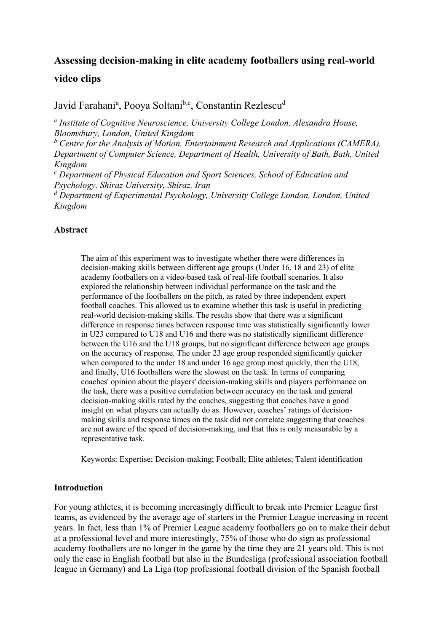# **Assessing decision-making in elite academy footballers using real-world video clips**

# Javid Farahani<sup>a</sup>, Pooya Soltani<sup>b,c</sup>, Constantin Rezlescu<sup>d</sup>

*<sup>a</sup> Institute of Cognitive Neuroscience, University College London, Alexandra House, Bloomsbury, London, United Kingdom <sup>b</sup> Centre for the Analysis of Motion, Entertainment Research and Applications (CAMERA), Department of Computer Science, Department of Health, University of Bath, Bath, United Kingdom <sup>c</sup> Department of Physical Education and Sport Sciences, School of Education and Psychology, Shiraz University, Shiraz, Iran*

*<sup>d</sup> Department of Experimental Psychology, University College London, London, United Kingdom*

### **Abstract**

The aim of this experiment was to investigate whether there were differences in decision-making skills between different age groups (Under 16, 18 and 23) of elite academy footballers on a video-based task of real-life football scenarios. It also explored the relationship between individual performance on the task and the performance of the footballers on the pitch, as rated by three independent expert football coaches. This allowed us to examine whether this task is useful in predicting real-world decision-making skills. The results show that there was a significant difference in response times between response time was statistically significantly lower in U23 compared to U18 and U16 and there was no statistically significant difference between the U16 and the U18 groups, but no significant difference between age groups on the accuracy of response. The under 23 age group responded significantly quicker when compared to the under 18 and under 16 age group most quickly, then the U18, and finally, U16 footballers were the slowest on the task. In terms of comparing coaches' opinion about the players' decision-making skills and players performance on the task, there was a positive correlation between accuracy on the task and general decision-making skills rated by the coaches, suggesting that coaches have a good insight on what players can actually do as. However, coaches' ratings of decisionmaking skills and response times on the task did not correlate suggesting that coaches are not aware of the speed of decision-making, and that this is only measurable by a representative task.

Keywords: Expertise; Decision-making; Football; Elite athletes; Talent identification

### **Introduction**

For young athletes, it is becoming increasingly difficult to break into Premier League first teams, as evidenced by the average age of starters in the Premier League increasing in recent years. In fact, less than 1% of Premier League academy footballers go on to make their debut at a professional level and more interestingly, 75% of those who do sign as professional academy footballers are no longer in the game by the time they are 21 years old. This is not only the case in English football but also in the Bundesliga (professional association football league in Germany) and La Liga (top professional football division of the Spanish football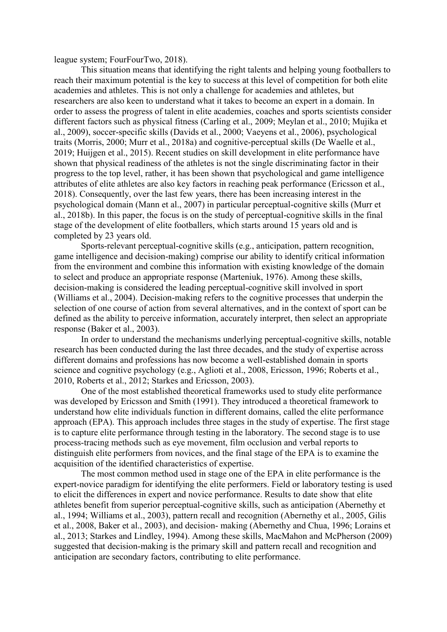league system; FourFourTwo, 2018).

This situation means that identifying the right talents and helping young footballers to reach their maximum potential is the key to success at this level of competition for both elite academies and athletes. This is not only a challenge for academies and athletes, but researchers are also keen to understand what it takes to become an expert in a domain. In order to assess the progress of talent in elite academies, coaches and sports scientists consider different factors such as physical fitness (Carling et al., 2009; Meylan et al., 2010; Mujika et al., 2009), soccer-specific skills (Davids et al., 2000; Vaeyens et al., 2006), psychological traits (Morris, 2000; Murr et al., 2018a) and cognitive-perceptual skills (De Waelle et al., 2019; Huijgen et al., 2015). Recent studies on skill development in elite performance have shown that physical readiness of the athletes is not the single discriminating factor in their progress to the top level, rather, it has been shown that psychological and game intelligence attributes of elite athletes are also key factors in reaching peak performance (Ericsson et al., 2018). Consequently, over the last few years, there has been increasing interest in the psychological domain (Mann et al., 2007) in particular perceptual-cognitive skills (Murr et al., 2018b). In this paper, the focus is on the study of perceptual-cognitive skills in the final stage of the development of elite footballers, which starts around 15 years old and is completed by 23 years old.

Sports-relevant perceptual-cognitive skills (e.g., anticipation, pattern recognition, game intelligence and decision-making) comprise our ability to identify critical information from the environment and combine this information with existing knowledge of the domain to select and produce an appropriate response (Marteniuk, 1976). Among these skills, decision-making is considered the leading perceptual-cognitive skill involved in sport (Williams et al., 2004). Decision-making refers to the cognitive processes that underpin the selection of one course of action from several alternatives, and in the context of sport can be defined as the ability to perceive information, accurately interpret, then select an appropriate response (Baker et al., 2003).

In order to understand the mechanisms underlying perceptual-cognitive skills, notable research has been conducted during the last three decades, and the study of expertise across different domains and professions has now become a well-established domain in sports science and cognitive psychology (e.g., Aglioti et al., 2008, Ericsson, 1996; Roberts et al., 2010, Roberts et al., 2012; Starkes and Ericsson, 2003).

One of the most established theoretical frameworks used to study elite performance was developed by Ericsson and Smith (1991). They introduced a theoretical framework to understand how elite individuals function in different domains, called the elite performance approach (EPA). This approach includes three stages in the study of expertise. The first stage is to capture elite performance through testing in the laboratory. The second stage is to use process-tracing methods such as eye movement, film occlusion and verbal reports to distinguish elite performers from novices, and the final stage of the EPA is to examine the acquisition of the identified characteristics of expertise.

The most common method used in stage one of the EPA in elite performance is the expert-novice paradigm for identifying the elite performers. Field or laboratory testing is used to elicit the differences in expert and novice performance. Results to date show that elite athletes benefit from superior perceptual-cognitive skills, such as anticipation (Abernethy et al., 1994; Williams et al., 2003), pattern recall and recognition (Abernethy et al., 2005, Gilis et al., 2008, Baker et al., 2003), and decision- making (Abernethy and Chua, 1996; Lorains et al., 2013; Starkes and Lindley, 1994). Among these skills, MacMahon and McPherson (2009) suggested that decision-making is the primary skill and pattern recall and recognition and anticipation are secondary factors, contributing to elite performance.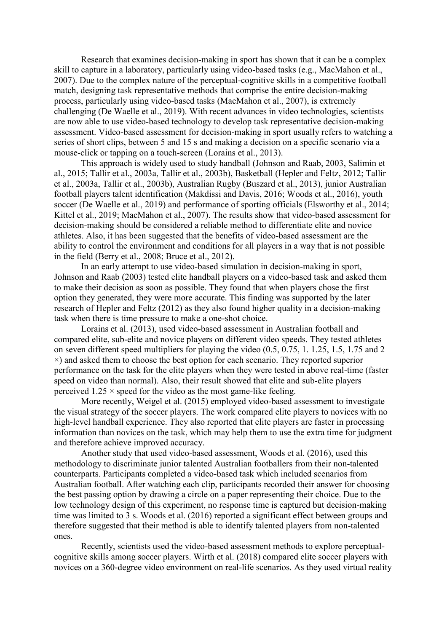Research that examines decision-making in sport has shown that it can be a complex skill to capture in a laboratory, particularly using video-based tasks (e.g., MacMahon et al., 2007). Due to the complex nature of the perceptual-cognitive skills in a competitive football match, designing task representative methods that comprise the entire decision-making process, particularly using video-based tasks (MacMahon et al., 2007), is extremely challenging (De Waelle et al., 2019). With recent advances in video technologies, scientists are now able to use video-based technology to develop task representative decision-making assessment. Video-based assessment for decision-making in sport usually refers to watching a series of short clips, between 5 and 15 s and making a decision on a specific scenario via a mouse-click or tapping on a touch-screen (Lorains et al., 2013).

This approach is widely used to study handball (Johnson and Raab, 2003, Salimin et al., 2015; Tallir et al., 2003a, Tallir et al., 2003b), Basketball (Hepler and Feltz, 2012; Tallir et al., 2003a, Tallir et al., 2003b), Australian Rugby (Buszard et al., 2013), junior Australian football players talent identification (Makdissi and Davis, 2016; Woods et al., 2016), youth soccer (De Waelle et al., 2019) and performance of sporting officials (Elsworthy et al., 2014; Kittel et al., 2019; MacMahon et al., 2007). The results show that video-based assessment for decision-making should be considered a reliable method to differentiate elite and novice athletes. Also, it has been suggested that the benefits of video-based assessment are the ability to control the environment and conditions for all players in a way that is not possible in the field (Berry et al., 2008; Bruce et al., 2012).

In an early attempt to use video-based simulation in decision-making in sport, Johnson and Raab (2003) tested elite handball players on a video-based task and asked them to make their decision as soon as possible. They found that when players chose the first option they generated, they were more accurate. This finding was supported by the later research of Hepler and Feltz (2012) as they also found higher quality in a decision-making task when there is time pressure to make a one-shot choice.

Lorains et al. (2013), used video-based assessment in Australian football and compared elite, sub-elite and novice players on different video speeds. They tested athletes on seven different speed multipliers for playing the video (0.5, 0.75, 1. 1.25, 1.5, 1.75 and 2  $\times$ ) and asked them to choose the best option for each scenario. They reported superior performance on the task for the elite players when they were tested in above real-time (faster speed on video than normal). Also, their result showed that elite and sub-elite players perceived  $1.25 \times$  speed for the video as the most game-like feeling.

More recently, Weigel et al. (2015) employed video-based assessment to investigate the visual strategy of the soccer players. The work compared elite players to novices with no high-level handball experience. They also reported that elite players are faster in processing information than novices on the task, which may help them to use the extra time for judgment and therefore achieve improved accuracy.

Another study that used video-based assessment, Woods et al. (2016), used this methodology to discriminate junior talented Australian footballers from their non-talented counterparts. Participants completed a video-based task which included scenarios from Australian football. After watching each clip, participants recorded their answer for choosing the best passing option by drawing a circle on a paper representing their choice. Due to the low technology design of this experiment, no response time is captured but decision-making time was limited to 3 s. Woods et al. (2016) reported a significant effect between groups and therefore suggested that their method is able to identify talented players from non-talented ones.

Recently, scientists used the video-based assessment methods to explore perceptualcognitive skills among soccer players. Wirth et al. (2018) compared elite soccer players with novices on a 360-degree video environment on real-life scenarios. As they used virtual reality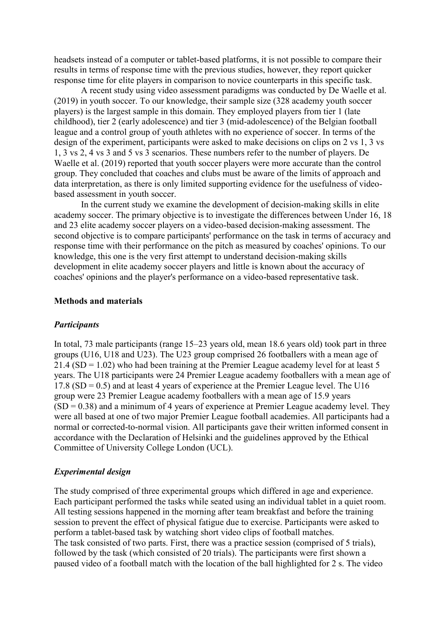headsets instead of a computer or tablet-based platforms, it is not possible to compare their results in terms of response time with the previous studies, however, they report quicker response time for elite players in comparison to novice counterparts in this specific task.

A recent study using video assessment paradigms was conducted by De Waelle et al. (2019) in youth soccer. To our knowledge, their sample size (328 academy youth soccer players) is the largest sample in this domain. They employed players from tier 1 (late childhood), tier 2 (early adolescence) and tier 3 (mid-adolescence) of the Belgian football league and a control group of youth athletes with no experience of soccer. In terms of the design of the experiment, participants were asked to make decisions on clips on 2 vs 1, 3 vs 1, 3 vs 2, 4 vs 3 and 5 vs 3 scenarios. These numbers refer to the number of players. De Waelle et al. (2019) reported that youth soccer players were more accurate than the control group. They concluded that coaches and clubs must be aware of the limits of approach and data interpretation, as there is only limited supporting evidence for the usefulness of videobased assessment in youth soccer.

In the current study we examine the development of decision-making skills in elite academy soccer. The primary objective is to investigate the differences between Under 16, 18 and 23 elite academy soccer players on a video-based decision-making assessment. The second objective is to compare participants' performance on the task in terms of accuracy and response time with their performance on the pitch as measured by coaches' opinions. To our knowledge, this one is the very first attempt to understand decision-making skills development in elite academy soccer players and little is known about the accuracy of coaches' opinions and the player's performance on a video-based representative task.

#### **Methods and materials**

#### *Participants*

In total, 73 male participants (range 15–23 years old, mean 18.6 years old) took part in three groups (U16, U18 and U23). The U23 group comprised 26 footballers with a mean age of 21.4 (SD = 1.02) who had been training at the Premier League academy level for at least 5 years. The U18 participants were 24 Premier League academy footballers with a mean age of 17.8 ( $SD = 0.5$ ) and at least 4 years of experience at the Premier League level. The U16 group were 23 Premier League academy footballers with a mean age of 15.9 years  $(SD = 0.38)$  and a minimum of 4 years of experience at Premier League academy level. They were all based at one of two major Premier League football academies. All participants had a normal or corrected-to-normal vision. All participants gave their written informed consent in accordance with the Declaration of Helsinki and the guidelines approved by the Ethical Committee of University College London (UCL).

#### *Experimental design*

The study comprised of three experimental groups which differed in age and experience. Each participant performed the tasks while seated using an individual tablet in a quiet room. All testing sessions happened in the morning after team breakfast and before the training session to prevent the effect of physical fatigue due to exercise. Participants were asked to perform a tablet-based task by watching short video clips of football matches. The task consisted of two parts. First, there was a practice session (comprised of 5 trials), followed by the task (which consisted of 20 trials). The participants were first shown a paused video of a football match with the location of the ball highlighted for 2 s. The video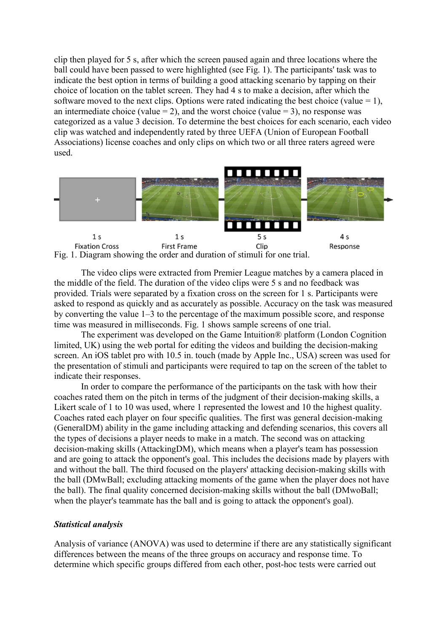clip then played for 5 s, after which the screen paused again and three locations where the ball could have been passed to were highlighted (see Fig. 1). The participants' task was to indicate the best option in terms of building a good attacking scenario by tapping on their choice of location on the tablet screen. They had 4 s to make a decision, after which the software moved to the next clips. Options were rated indicating the best choice (value  $= 1$ ), an intermediate choice (value  $= 2$ ), and the worst choice (value  $= 3$ ), no response was categorized as a value 3 decision. To determine the best choices for each scenario, each video clip was watched and independently rated by three UEFA (Union of European Football Associations) license coaches and only clips on which two or all three raters agreed were used.



The video clips were extracted from Premier League matches by a camera placed in the middle of the field. The duration of the video clips were 5 s and no feedback was provided. Trials were separated by a fixation cross on the screen for 1 s. Participants were asked to respond as quickly and as accurately as possible. Accuracy on the task was measured by converting the value 1–3 to the percentage of the maximum possible score, and response time was measured in milliseconds. Fig. 1 shows sample screens of one trial.

The experiment was developed on the Game Intuition® platform (London Cognition limited, UK) using the web portal for editing the videos and building the decision-making screen. An iOS tablet pro with 10.5 in. touch (made by Apple Inc., USA) screen was used for the presentation of stimuli and participants were required to tap on the screen of the tablet to indicate their responses.

In order to compare the performance of the participants on the task with how their coaches rated them on the pitch in terms of the judgment of their decision-making skills, a Likert scale of 1 to 10 was used, where 1 represented the lowest and 10 the highest quality. Coaches rated each player on four specific qualities. The first was general decision-making (GeneralDM) ability in the game including attacking and defending scenarios, this covers all the types of decisions a player needs to make in a match. The second was on attacking decision-making skills (AttackingDM), which means when a player's team has possession and are going to attack the opponent's goal. This includes the decisions made by players with and without the ball. The third focused on the players' attacking decision-making skills with the ball (DMwBall; excluding attacking moments of the game when the player does not have the ball). The final quality concerned decision-making skills without the ball (DMwoBall; when the player's teammate has the ball and is going to attack the opponent's goal).

### *Statistical analysis*

Analysis of variance (ANOVA) was used to determine if there are any statistically significant differences between the means of the three groups on accuracy and response time. To determine which specific groups differed from each other, post-hoc tests were carried out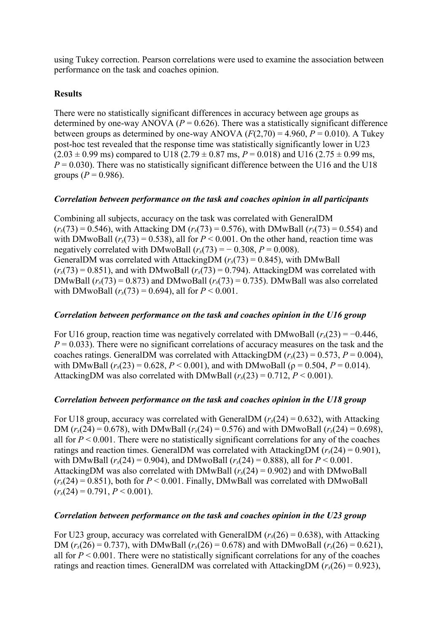using Tukey correction. Pearson correlations were used to examine the association between performance on the task and coaches opinion.

# **Results**

There were no statistically significant differences in accuracy between age groups as determined by one-way ANOVA ( $P = 0.626$ ). There was a statistically significant difference between groups as determined by one-way ANOVA  $(F(2,70) = 4.960, P = 0.010)$ . A Tukey post-hoc test revealed that the response time was statistically significantly lower in U23  $(2.03 \pm 0.99 \text{ ms})$  compared to U18  $(2.79 \pm 0.87 \text{ ms}, P = 0.018)$  and U16  $(2.75 \pm 0.99 \text{ ms}, P = 0.018)$  $P = 0.030$ . There was no statistically significant difference between the U16 and the U18 groups ( $P = 0.986$ ).

# *Correlation between performance on the task and coaches opinion in all participants*

Combining all subjects, accuracy on the task was correlated with GeneralDM  $(r<sub>s</sub>(73) = 0.546)$ , with Attacking DM  $(r<sub>s</sub>(73) = 0.576)$ , with DMwBall  $(r<sub>s</sub>(73) = 0.554)$  and with DMwoBall  $(r_s(73) = 0.538)$ , all for  $P \le 0.001$ . On the other hand, reaction time was negatively correlated with DMwoBall  $(r_s(73) = -0.308, P = 0.008)$ . GeneralDM was correlated with AttackingDM  $(r_s(73) = 0.845)$ , with DMwBall  $(r<sub>s</sub>(73) = 0.851)$ , and with DMwoBall  $(r<sub>s</sub>(73) = 0.794)$ . AttackingDM was correlated with DMwBall  $(r_s(73) = 0.873)$  and DMwoBall  $(r_s(73) = 0.735)$ . DMwBall was also correlated with DMwoBall  $(r_s(73) = 0.694)$ , all for  $P \le 0.001$ .

## *Correlation between performance on the task and coaches opinion in the U16 group*

For U16 group, reaction time was negatively correlated with DMwoBall  $(r_s(23) = -0.446$ ,  $P = 0.033$ ). There were no significant correlations of accuracy measures on the task and the coaches ratings. GeneralDM was correlated with AttackingDM  $(r_s(23) = 0.573, P = 0.004)$ , with DMwBall  $(r_s(23) = 0.628, P \le 0.001)$ , and with DMwoBall ( $\rho = 0.504, P = 0.014$ ). AttackingDM was also correlated with DMwBall  $(r_s(23) = 0.712, P \le 0.001)$ .

## *Correlation between performance on the task and coaches opinion in the U18 group*

For U18 group, accuracy was correlated with GeneralDM  $(r_s(24) = 0.632)$ , with Attacking DM ( $r_s(24) = 0.678$ ), with DMwBall ( $r_s(24) = 0.576$ ) and with DMwoBall ( $r_s(24) = 0.698$ ), all for  $P \le 0.001$ . There were no statistically significant correlations for any of the coaches ratings and reaction times. GeneralDM was correlated with AttackingDM  $(r_s(24) = 0.901)$ , with DMwBall ( $r_s(24) = 0.904$ ), and DMwoBall ( $r_s(24) = 0.888$ ), all for  $P \le 0.001$ . AttackingDM was also correlated with DMwBall  $(r_s(24) = 0.902)$  and with DMwoBall  $(r<sub>s</sub>(24) = 0.851)$ , both for  $P < 0.001$ . Finally, DMwBall was correlated with DMwoBall  $(r_s(24) = 0.791, P \le 0.001)$ .

## *Correlation between performance on the task and coaches opinion in the U23 group*

For U23 group, accuracy was correlated with GeneralDM  $(r_s(26) = 0.638)$ , with Attacking DM  $(r_s(26) = 0.737)$ , with DMwBall  $(r_s(26) = 0.678)$  and with DMwoBall  $(r_s(26) = 0.621)$ , all for  $P \le 0.001$ . There were no statistically significant correlations for any of the coaches ratings and reaction times. GeneralDM was correlated with AttackingDM  $(r<sub>s</sub>(26) = 0.923)$ ,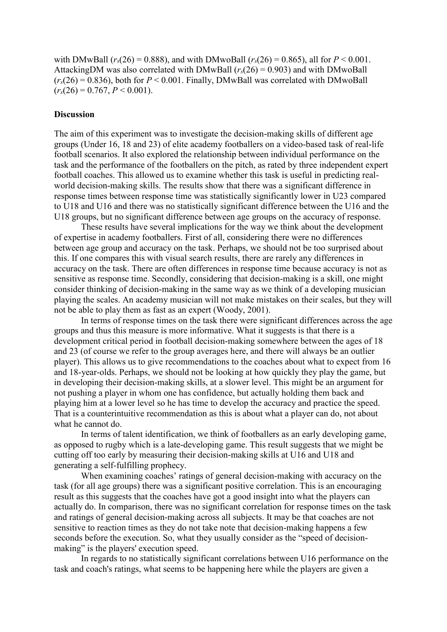with DMwBall ( $r_s(26) = 0.888$ ), and with DMwoBall ( $r_s(26) = 0.865$ ), all for  $P < 0.001$ . AttackingDM was also correlated with DMwBall  $(r_s(26) = 0.903)$  and with DMwoBall  $(r<sub>s</sub>(26) = 0.836)$ , both for  $P < 0.001$ . Finally, DMwBall was correlated with DMwoBall  $(r_s(26) = 0.767, P \le 0.001).$ 

#### **Discussion**

The aim of this experiment was to investigate the decision-making skills of different age groups (Under 16, 18 and 23) of elite academy footballers on a video-based task of real-life football scenarios. It also explored the relationship between individual performance on the task and the performance of the footballers on the pitch, as rated by three independent expert football coaches. This allowed us to examine whether this task is useful in predicting realworld decision-making skills. The results show that there was a significant difference in response times between response time was statistically significantly lower in U23 compared to U18 and U16 and there was no statistically significant difference between the U16 and the U18 groups, but no significant difference between age groups on the accuracy of response.

These results have several implications for the way we think about the development of expertise in academy footballers. First of all, considering there were no differences between age group and accuracy on the task. Perhaps, we should not be too surprised about this. If one compares this with visual search results, there are rarely any differences in accuracy on the task. There are often differences in response time because accuracy is not as sensitive as response time. Secondly, considering that decision-making is a skill, one might consider thinking of decision-making in the same way as we think of a developing musician playing the scales. An academy musician will not make mistakes on their scales, but they will not be able to play them as fast as an expert (Woody, 2001).

In terms of response times on the task there were significant differences across the age groups and thus this measure is more informative. What it suggests is that there is a development critical period in football decision-making somewhere between the ages of 18 and 23 (of course we refer to the group averages here, and there will always be an outlier player). This allows us to give recommendations to the coaches about what to expect from 16 and 18-year-olds. Perhaps, we should not be looking at how quickly they play the game, but in developing their decision-making skills, at a slower level. This might be an argument for not pushing a player in whom one has confidence, but actually holding them back and playing him at a lower level so he has time to develop the accuracy and practice the speed. That is a counterintuitive recommendation as this is about what a player can do, not about what he cannot do.

In terms of talent identification, we think of footballers as an early developing game, as opposed to rugby which is a late-developing game. This result suggests that we might be cutting off too early by measuring their decision-making skills at U16 and U18 and generating a self-fulfilling prophecy.

When examining coaches' ratings of general decision-making with accuracy on the task (for all age groups) there was a significant positive correlation. This is an encouraging result as this suggests that the coaches have got a good insight into what the players can actually do. In comparison, there was no significant correlation for response times on the task and ratings of general decision-making across all subjects. It may be that coaches are not sensitive to reaction times as they do not take note that decision-making happens a few seconds before the execution. So, what they usually consider as the "speed of decisionmaking" is the players' execution speed.

In regards to no statistically significant correlations between U16 performance on the task and coach's ratings, what seems to be happening here while the players are given a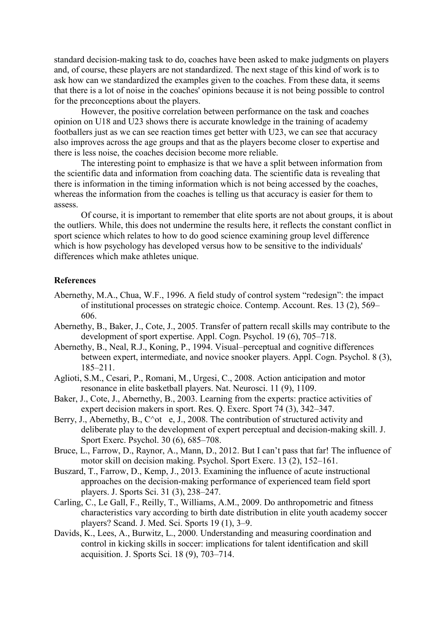standard decision-making task to do, coaches have been asked to make judgments on players and, of course, these players are not standardized. The next stage of this kind of work is to ask how can we standardized the examples given to the coaches. From these data, it seems that there is a lot of noise in the coaches' opinions because it is not being possible to control for the preconceptions about the players.

However, the positive correlation between performance on the task and coaches opinion on U18 and U23 shows there is accurate knowledge in the training of academy footballers just as we can see reaction times get better with U23, we can see that accuracy also improves across the age groups and that as the players become closer to expertise and there is less noise, the coaches decision become more reliable.

The interesting point to emphasize is that we have a split between information from the scientific data and information from coaching data. The scientific data is revealing that there is information in the timing information which is not being accessed by the coaches, whereas the information from the coaches is telling us that accuracy is easier for them to assess.

Of course, it is important to remember that elite sports are not about groups, it is about the outliers. While, this does not undermine the results here, it reflects the constant conflict in sport science which relates to how to do good science examining group level difference which is how psychology has developed versus how to be sensitive to the individuals' differences which make athletes unique.

#### **References**

- Abernethy, M.A., Chua, W.F., 1996. A field study of control system "redesign": the impact of institutional processes on strategic choice. Contemp. Account. Res. 13 (2), 569– 606.
- Abernethy, B., Baker, J., Cote, J., 2005. Transfer of pattern recall skills may contribute to the development of sport expertise. Appl. Cogn. Psychol. 19 (6), 705–718.
- Abernethy, B., Neal, R.J., Koning, P., 1994. Visual–perceptual and cognitive differences between expert, intermediate, and novice snooker players. Appl. Cogn. Psychol. 8 (3), 185–211.
- Aglioti, S.M., Cesari, P., Romani, M., Urgesi, C., 2008. Action anticipation and motor resonance in elite basketball players. Nat. Neurosci. 11 (9), 1109.
- Baker, J., Cote, J., Abernethy, B., 2003. Learning from the experts: practice activities of expert decision makers in sport. Res. Q. Exerc. Sport 74 (3), 342–347.
- Berry, J., Abernethy, B., C<sup> $\wedge$ </sup>ot e, J., 2008. The contribution of structured activity and deliberate play to the development of expert perceptual and decision-making skill. J. Sport Exerc. Psychol. 30 (6), 685–708.
- Bruce, L., Farrow, D., Raynor, A., Mann, D., 2012. But I can't pass that far! The influence of motor skill on decision making. Psychol. Sport Exerc. 13 (2), 152–161.
- Buszard, T., Farrow, D., Kemp, J., 2013. Examining the influence of acute instructional approaches on the decision-making performance of experienced team field sport players. J. Sports Sci. 31 (3), 238–247.
- Carling, C., Le Gall, F., Reilly, T., Williams, A.M., 2009. Do anthropometric and fitness characteristics vary according to birth date distribution in elite youth academy soccer players? Scand. J. Med. Sci. Sports 19 (1), 3–9.
- Davids, K., Lees, A., Burwitz, L., 2000. Understanding and measuring coordination and control in kicking skills in soccer: implications for talent identification and skill acquisition. J. Sports Sci. 18 (9), 703–714.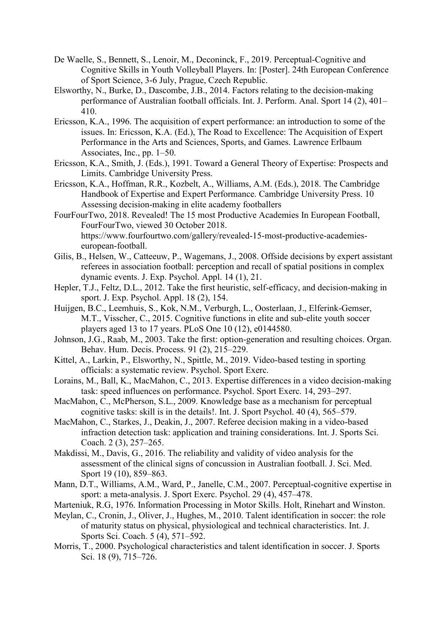- De Waelle, S., Bennett, S., Lenoir, M., Deconinck, F., 2019. Perceptual-Cognitive and Cognitive Skills in Youth Volleyball Players. In: [Poster]. 24th European Conference of Sport Science, 3-6 July, Prague, Czech Republic.
- Elsworthy, N., Burke, D., Dascombe, J.B., 2014. Factors relating to the decision-making performance of Australian football officials. Int. J. Perform. Anal. Sport 14 (2), 401– 410.
- Ericsson, K.A., 1996. The acquisition of expert performance: an introduction to some of the issues. In: Ericsson, K.A. (Ed.), The Road to Excellence: The Acquisition of Expert Performance in the Arts and Sciences, Sports, and Games. Lawrence Erlbaum Associates, Inc., pp. 1–50.
- Ericsson, K.A., Smith, J. (Eds.), 1991. Toward a General Theory of Expertise: Prospects and Limits. Cambridge University Press.
- Ericsson, K.A., Hoffman, R.R., Kozbelt, A., Williams, A.M. (Eds.), 2018. The Cambridge Handbook of Expertise and Expert Performance. Cambridge University Press. 10 Assessing decision-making in elite academy footballers
- FourFourTwo, 2018. Revealed! The 15 most Productive Academies In European Football, FourFourTwo, viewed 30 October 2018. https://www.fourfourtwo.com/gallery/revealed-15-most-productive-academieseuropean-football.
- Gilis, B., Helsen, W., Catteeuw, P., Wagemans, J., 2008. Offside decisions by expert assistant referees in association football: perception and recall of spatial positions in complex dynamic events. J. Exp. Psychol. Appl. 14 (1), 21.
- Hepler, T.J., Feltz, D.L., 2012. Take the first heuristic, self-efficacy, and decision-making in sport. J. Exp. Psychol. Appl. 18 (2), 154.
- Huijgen, B.C., Leemhuis, S., Kok, N.M., Verburgh, L., Oosterlaan, J., Elferink-Gemser, M.T., Visscher, C., 2015. Cognitive functions in elite and sub-elite youth soccer players aged 13 to 17 years. PLoS One 10 (12), e0144580.
- Johnson, J.G., Raab, M., 2003. Take the first: option-generation and resulting choices. Organ. Behav. Hum. Decis. Process. 91 (2), 215–229.
- Kittel, A., Larkin, P., Elsworthy, N., Spittle, M., 2019. Video-based testing in sporting officials: a systematic review. Psychol. Sport Exerc.
- Lorains, M., Ball, K., MacMahon, C., 2013. Expertise differences in a video decision-making task: speed influences on performance. Psychol. Sport Exerc. 14, 293–297.
- MacMahon, C., McPherson, S.L., 2009. Knowledge base as a mechanism for perceptual cognitive tasks: skill is in the details!. Int. J. Sport Psychol. 40 (4), 565–579.
- MacMahon, C., Starkes, J., Deakin, J., 2007. Referee decision making in a video-based infraction detection task: application and training considerations. Int. J. Sports Sci. Coach. 2 (3), 257–265.
- Makdissi, M., Davis, G., 2016. The reliability and validity of video analysis for the assessment of the clinical signs of concussion in Australian football. J. Sci. Med. Sport 19 (10), 859–863.
- Mann, D.T., Williams, A.M., Ward, P., Janelle, C.M., 2007. Perceptual-cognitive expertise in sport: a meta-analysis. J. Sport Exerc. Psychol. 29 (4), 457–478.
- Marteniuk, R.G, 1976. Information Processing in Motor Skills. Holt, Rinehart and Winston.
- Meylan, C., Cronin, J., Oliver, J., Hughes, M., 2010. Talent identification in soccer: the role of maturity status on physical, physiological and technical characteristics. Int. J. Sports Sci. Coach. 5 (4), 571–592.
- Morris, T., 2000. Psychological characteristics and talent identification in soccer. J. Sports Sci. 18 (9), 715–726.